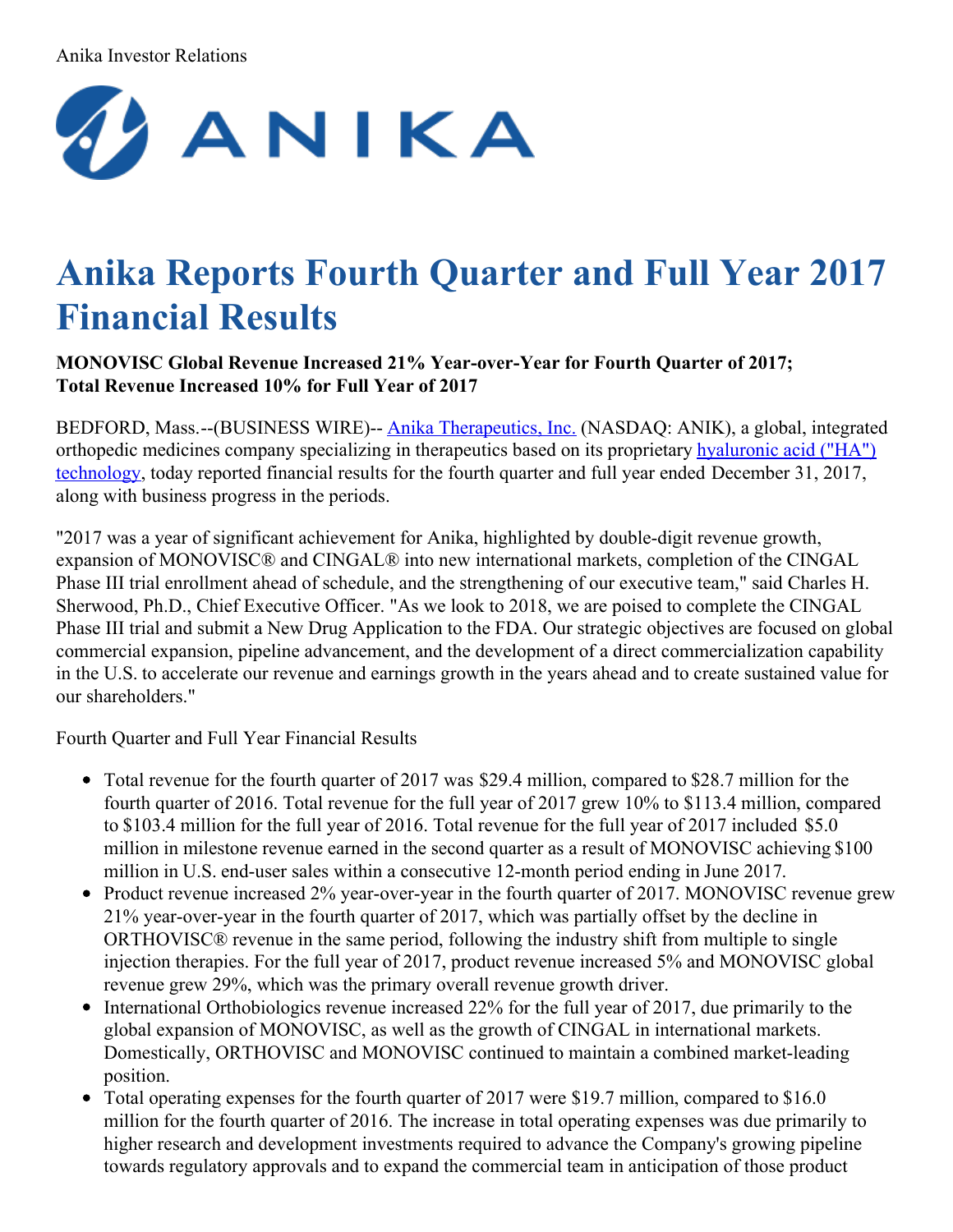### Anika Investor Relations



# **Anika Reports Fourth Quarter and Full Year 2017 Financial Results**

# **MONOVISC Global Revenue Increased 21% Year-over-Year for Fourth Quarter of 2017; Total Revenue Increased 10% for Full Year of 2017**

BEDFORD, Mass.--(BUSINESS WIRE)-- Anika [Therapeutics,](http://cts.businesswire.com/ct/CT?id=smartlink&url=http%3A%2F%2Fwww.anikatherapeutics.com%2F&esheet=51762180&newsitemid=20180221006301&lan=en-US&anchor=Anika+Therapeutics%2C+Inc.&index=1&md5=73370d235ada9c1d791a00fdea697b8c) Inc. (NASDAQ: ANIK), a global, integrated orthopedic medicines company specializing in [therapeutics](http://cts.businesswire.com/ct/CT?id=smartlink&url=http%3A%2F%2Fwww.anikatherapeutics.com%2Ftechnology%2Fha-biology%2F&esheet=51762180&newsitemid=20180221006301&lan=en-US&anchor=hyaluronic+acid+%28%E2%80%9CHA%E2%80%9D%29+technology&index=2&md5=53fa92af9e582c2298af008e77ea2a67) based on its proprietary hyaluronic acid ("HA") technology, today reported financial results for the fourth quarter and full year ended December 31, 2017, along with business progress in the periods.

"2017 was a year of significant achievement for Anika, highlighted by double-digit revenue growth, expansion of MONOVISC® and CINGAL® into new international markets, completion of the CINGAL Phase III trial enrollment ahead of schedule, and the strengthening of our executive team," said Charles H. Sherwood, Ph.D., Chief Executive Officer. "As we look to 2018, we are poised to complete the CINGAL Phase III trial and submit a New Drug Application to the FDA. Our strategic objectives are focused on global commercial expansion, pipeline advancement, and the development of a direct commercialization capability in the U.S. to accelerate our revenue and earnings growth in the years ahead and to create sustained value for our shareholders."

Fourth Quarter and Full Year Financial Results

- Total revenue for the fourth quarter of 2017 was \$29.4 million, compared to \$28.7 million for the fourth quarter of 2016. Total revenue for the full year of 2017 grew 10% to \$113.4 million, compared to \$103.4 million for the full year of 2016. Total revenue for the full year of 2017 included \$5.0 million in milestone revenue earned in the second quarter as a result of MONOVISC achieving \$100 million in U.S. end-user sales within a consecutive 12-month period ending in June 2017.
- Product revenue increased 2% year-over-year in the fourth quarter of 2017. MONOVISC revenue grew 21% year-over-year in the fourth quarter of 2017, which was partially offset by the decline in ORTHOVISC® revenue in the same period, following the industry shift from multiple to single injection therapies. For the full year of 2017, product revenue increased 5% and MONOVISC global revenue grew 29%, which was the primary overall revenue growth driver.
- International Orthobiologics revenue increased 22% for the full year of 2017, due primarily to the global expansion of MONOVISC, as well as the growth of CINGAL in international markets. Domestically, ORTHOVISC and MONOVISC continued to maintain a combined market-leading position.
- Total operating expenses for the fourth quarter of 2017 were \$19.7 million, compared to \$16.0  $\bullet$ million for the fourth quarter of 2016. The increase in total operating expenses was due primarily to higher research and development investments required to advance the Company's growing pipeline towards regulatory approvals and to expand the commercial team in anticipation of those product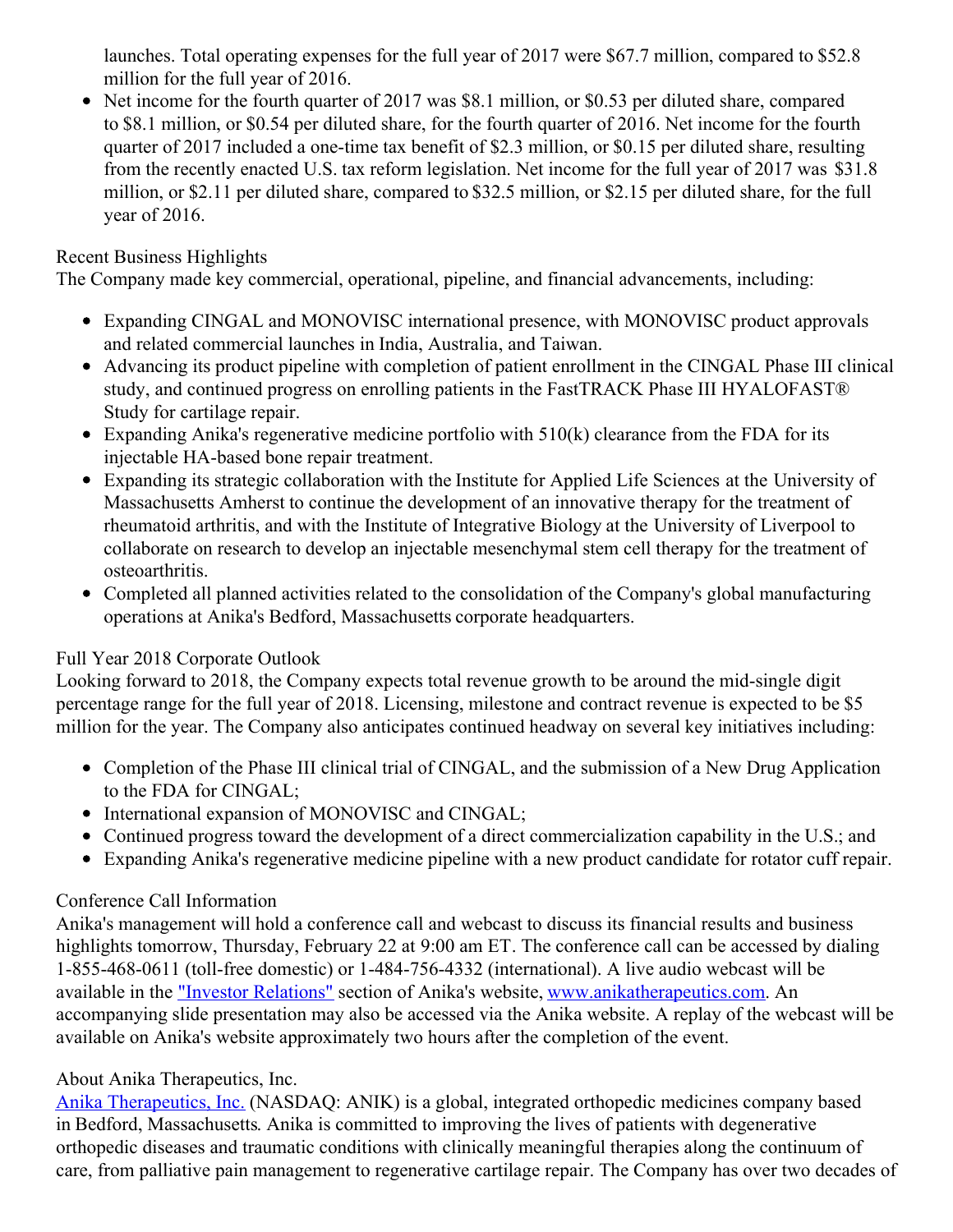launches. Total operating expenses for the full year of 2017 were \$67.7 million, compared to \$52.8 million for the full year of 2016.

• Net income for the fourth quarter of 2017 was \$8.1 million, or \$0.53 per diluted share, compared to \$8.1 million, or \$0.54 per diluted share, for the fourth quarter of 2016. Net income for the fourth quarter of 2017 included a one-time tax benefit of \$2.3 million, or \$0.15 per diluted share, resulting from the recently enacted U.S. tax reform legislation. Net income for the full year of 2017 was \$31.8 million, or \$2.11 per diluted share, compared to \$32.5 million, or \$2.15 per diluted share, for the full year of 2016.

# Recent Business Highlights

The Company made key commercial, operational, pipeline, and financial advancements, including:

- Expanding CINGAL and MONOVISC international presence, with MONOVISC product approvals and related commercial launches in India, Australia, and Taiwan.
- Advancing its product pipeline with completion of patient enrollment in the CINGAL Phase III clinical study, and continued progress on enrolling patients in the FastTRACK Phase III HYALOFAST® Study for cartilage repair.
- Expanding Anika's regenerative medicine portfolio with 510(k) clearance from the FDA for its injectable HA-based bone repair treatment.
- Expanding its strategic collaboration with the Institute for Applied Life Sciences at the University of Massachusetts Amherst to continue the development of an innovative therapy for the treatment of rheumatoid arthritis, and with the Institute of Integrative Biology at the University of Liverpool to collaborate on research to develop an injectable mesenchymal stem cell therapy for the treatment of osteoarthritis.
- Completed all planned activities related to the consolidation of the Company's global manufacturing operations at Anika's Bedford, Massachusetts corporate headquarters.

### Full Year 2018 Corporate Outlook

Looking forward to 2018, the Company expects total revenue growth to be around the mid-single digit percentage range for the full year of 2018. Licensing, milestone and contract revenue is expected to be \$5 million for the year. The Company also anticipates continued headway on several key initiatives including:

- Completion of the Phase III clinical trial of CINGAL, and the submission of a New Drug Application to the FDA for CINGAL;
- $\bullet$  International expansion of MONOVISC and CINGAL;
- Continued progress toward the development of a direct commercialization capability in the U.S.; and
- Expanding Anika's regenerative medicine pipeline with a new product candidate for rotator cuff repair.

### Conference Call Information

Anika's management will hold a conference call and webcast to discuss its financial results and business highlights tomorrow, Thursday, February 22 at 9:00 am ET. The conference call can be accessed by dialing 1-855-468-0611 (toll-free domestic) or 1-484-756-4332 (international). A live audio webcast will be available in the "Investor [Relations"](http://cts.businesswire.com/ct/CT?id=smartlink&url=http%3A%2F%2Fir.anikatherapeutics.com%2Fevents.cfm&esheet=51762180&newsitemid=20180221006301&lan=en-US&anchor=%22Investor+Relations%22&index=3&md5=145fc506087a2e5f8f9dad3d9769b8f9) section of Anika's website, [www.anikatherapeutics.com](http://cts.businesswire.com/ct/CT?id=smartlink&url=http%3A%2F%2Fwww.anikatherapeutics.com%2Findex.html&esheet=51762180&newsitemid=20180221006301&lan=en-US&anchor=www.anikatherapeutics.com&index=4&md5=5219c96a2916ad01b423a7141d167fde). An accompanying slide presentation may also be accessed via the Anika website. A replay of the webcast will be available on Anika's website approximately two hours after the completion of the event.

### About Anika Therapeutics, Inc.

Anika [Therapeutics,](http://cts.businesswire.com/ct/CT?id=smartlink&url=http%3A%2F%2Fwww.anikatherapeutics.com&esheet=51762180&newsitemid=20180221006301&lan=en-US&anchor=Anika+Therapeutics%2C+Inc.&index=5&md5=cb258fc199feb07ebbdbc740a1283314) Inc. (NASDAQ: ANIK) is a global, integrated orthopedic medicines company based in Bedford, Massachusetts. Anika is committed to improving the lives of patients with degenerative orthopedic diseases and traumatic conditions with clinically meaningful therapies along the continuum of care, from palliative pain management to regenerative cartilage repair. The Company has over two decades of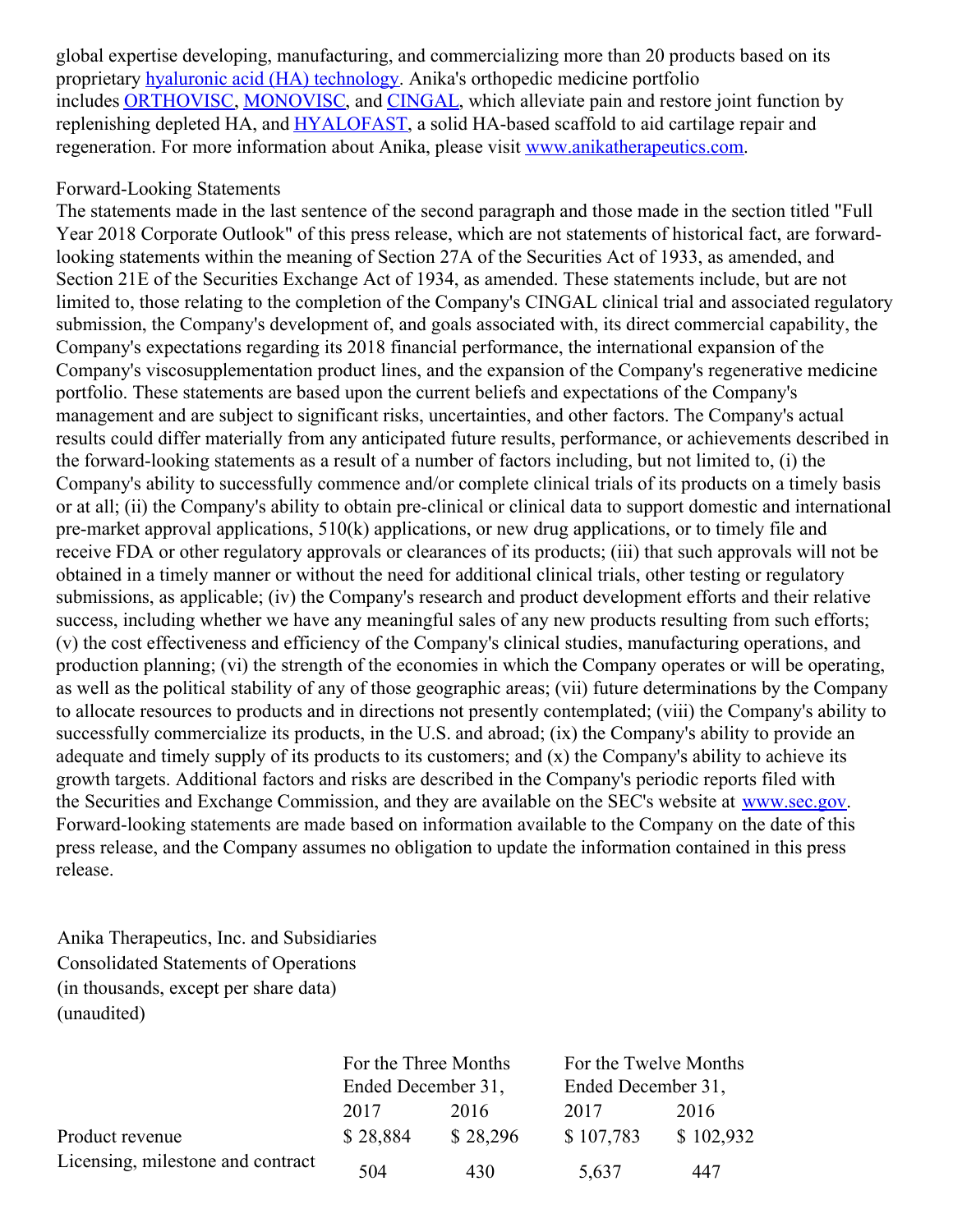global expertise developing, manufacturing, and commercializing more than 20 products based on its proprietary hyaluronic acid (HA) [technology](http://cts.businesswire.com/ct/CT?id=smartlink&url=http%3A%2F%2Fwww.anikatherapeutics.com%2Ftechnology%2Fha-biology%2F&esheet=51762180&newsitemid=20180221006301&lan=en-US&anchor=hyaluronic+acid+%28HA%29+technology&index=6&md5=6403f80f2fd8e9fb32113206a8046e21). Anika's orthopedic medicine portfolio includes [ORTHOVISC](http://cts.businesswire.com/ct/CT?id=smartlink&url=http%3A%2F%2Fwww.anikatherapeutics.com%2Fproducts%2Forthobiologics%2Forthovisc%2F&esheet=51762180&newsitemid=20180221006301&lan=en-US&anchor=ORTHOVISC&index=7&md5=268a7ebb9ecd36354ce07371d5799948), [MONOVISC](http://cts.businesswire.com/ct/CT?id=smartlink&url=http%3A%2F%2Fwww.anikatherapeutics.com%2Fproducts%2Forthobiologics%2Fmonovisc%2F&esheet=51762180&newsitemid=20180221006301&lan=en-US&anchor=MONOVISC&index=8&md5=55876b9f7e74614ba048e0a1d84b5a67), and [CINGAL](http://cts.businesswire.com/ct/CT?id=smartlink&url=http%3A%2F%2Fwww.cingal.com%2F&esheet=51762180&newsitemid=20180221006301&lan=en-US&anchor=CINGAL&index=9&md5=ea6981d77f1e36ac05718e178b2fa1f6), which alleviate pain and restore joint function by replenishing depleted HA, and [HYALOFAST,](http://cts.businesswire.com/ct/CT?id=smartlink&url=http%3A%2F%2Fhyalofast.anikatherapeutics.com%2Fen%2F&esheet=51762180&newsitemid=20180221006301&lan=en-US&anchor=HYALOFAST&index=10&md5=9ac740dec278e223b71fede508a79c75) a solid HA-based scaffold to aid cartilage repair and regeneration. For more information about Anika, please visit [www.anikatherapeutics.com](http://cts.businesswire.com/ct/CT?id=smartlink&url=http%3A%2F%2Fwww.anikatherapeutics.com%2F&esheet=51762180&newsitemid=20180221006301&lan=en-US&anchor=www.anikatherapeutics.com&index=11&md5=409e938c499a375690501c2fbdc9a594).

### Forward-Looking Statements

The statements made in the last sentence of the second paragraph and those made in the section titled "Full Year 2018 Corporate Outlook" of this press release, which are not statements of historical fact, are forwardlooking statements within the meaning of Section 27A of the Securities Act of 1933, as amended, and Section 21E of the Securities Exchange Act of 1934, as amended. These statements include, but are not limited to, those relating to the completion of the Company's CINGAL clinical trial and associated regulatory submission, the Company's development of, and goals associated with, its direct commercial capability, the Company's expectations regarding its 2018 financial performance, the international expansion of the Company's viscosupplementation product lines, and the expansion of the Company's regenerative medicine portfolio. These statements are based upon the current beliefs and expectations of the Company's management and are subject to significant risks, uncertainties, and other factors. The Company's actual results could differ materially from any anticipated future results, performance, or achievements described in the forward-looking statements as a result of a number of factors including, but not limited to, (i) the Company's ability to successfully commence and/or complete clinical trials of its products on a timely basis or at all; (ii) the Company's ability to obtain pre-clinical or clinical data to support domestic and international pre-market approval applications, 510(k) applications, or new drug applications, or to timely file and receive FDA or other regulatory approvals or clearances of its products; (iii) that such approvals will not be obtained in a timely manner or without the need for additional clinical trials, other testing or regulatory submissions, as applicable; (iv) the Company's research and product development efforts and their relative success, including whether we have any meaningful sales of any new products resulting from such efforts; (v) the cost effectiveness and efficiency of the Company's clinical studies, manufacturing operations, and production planning; (vi) the strength of the economies in which the Company operates or will be operating, as well as the political stability of any of those geographic areas; (vii) future determinations by the Company to allocate resources to products and in directions not presently contemplated; (viii) the Company's ability to successfully commercialize its products, in the U.S. and abroad; (ix) the Company's ability to provide an adequate and timely supply of its products to its customers; and  $(x)$  the Company's ability to achieve its growth targets. Additional factors and risks are described in the Company's periodic reports filed with the Securities and Exchange Commission, and they are available on the SEC's website at [www.sec.gov](http://cts.businesswire.com/ct/CT?id=smartlink&url=http%3A%2F%2Fwww.sec.gov&esheet=51762180&newsitemid=20180221006301&lan=en-US&anchor=www.sec.gov&index=12&md5=6b7b92d04bf9104a44fd327b6b4a06e5). Forward-looking statements are made based on information available to the Company on the date of this press release, and the Company assumes no obligation to update the information contained in this press release.

Anika Therapeutics, Inc. and Subsidiaries Consolidated Statements of Operations (in thousands, except per share data) (unaudited)

|                                   | For the Three Months |          | For the Twelve Months |           |  |
|-----------------------------------|----------------------|----------|-----------------------|-----------|--|
|                                   | Ended December 31,   |          | Ended December 31,    |           |  |
|                                   | 2017                 | 2016     | 2017                  | 2016      |  |
| Product revenue                   | \$28,884             | \$28,296 | \$107,783             | \$102,932 |  |
| Licensing, milestone and contract | 504                  | 430      | 5,637                 | 447       |  |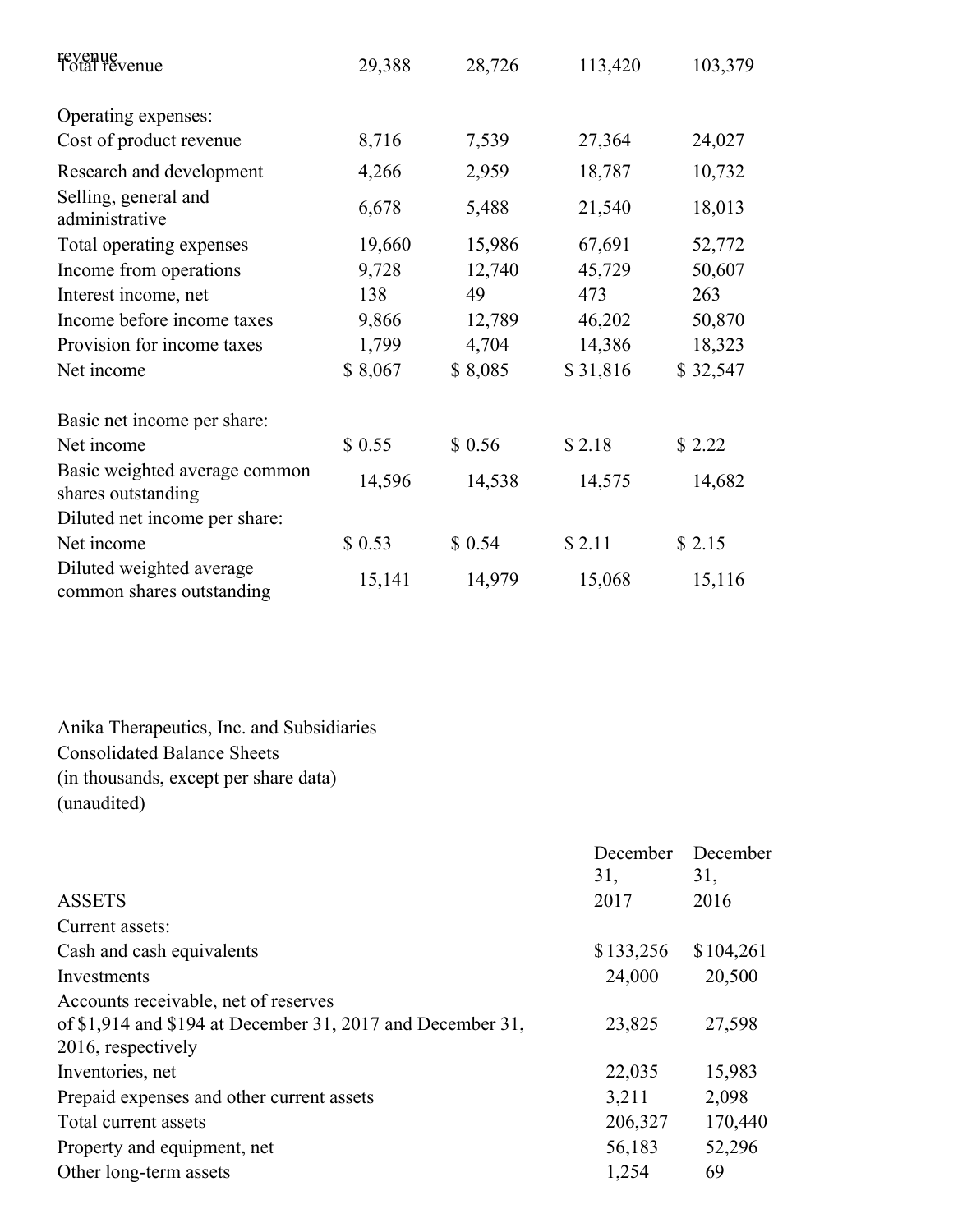| revenue<br>Total revenue                              | 29,388  | 28,726  | 113,420  | 103,379  |
|-------------------------------------------------------|---------|---------|----------|----------|
| Operating expenses:                                   |         |         |          |          |
| Cost of product revenue                               | 8,716   | 7,539   | 27,364   | 24,027   |
| Research and development                              | 4,266   | 2,959   | 18,787   | 10,732   |
| Selling, general and<br>administrative                | 6,678   | 5,488   | 21,540   | 18,013   |
| Total operating expenses                              | 19,660  | 15,986  | 67,691   | 52,772   |
| Income from operations                                | 9,728   | 12,740  | 45,729   | 50,607   |
| Interest income, net                                  | 138     | 49      | 473      | 263      |
| Income before income taxes                            | 9,866   | 12,789  | 46,202   | 50,870   |
| Provision for income taxes                            | 1,799   | 4,704   | 14,386   | 18,323   |
| Net income                                            | \$8,067 | \$8,085 | \$31,816 | \$32,547 |
| Basic net income per share:                           |         |         |          |          |
| Net income                                            | \$0.55  | \$0.56  | \$2.18   | \$2.22   |
| Basic weighted average common<br>shares outstanding   | 14,596  | 14,538  | 14,575   | 14,682   |
| Diluted net income per share:                         |         |         |          |          |
| Net income                                            | \$0.53  | \$0.54  | \$2.11   | \$2.15   |
| Diluted weighted average<br>common shares outstanding | 15,141  | 14,979  | 15,068   | 15,116   |

Anika Therapeutics, Inc. and Subsidiaries Consolidated Balance Sheets (in thousands, except per share data) (unaudited)

| December  | December<br>31, |
|-----------|-----------------|
| 2017      | 2016            |
|           |                 |
| \$133,256 | \$104,261       |
| 24,000    | 20,500          |
|           |                 |
| 23,825    | 27,598          |
| 22,035    | 15,983          |
| 3,211     | 2,098           |
| 206,327   | 170,440         |
| 56,183    | 52,296          |
| 1,254     | 69              |
|           | 31,             |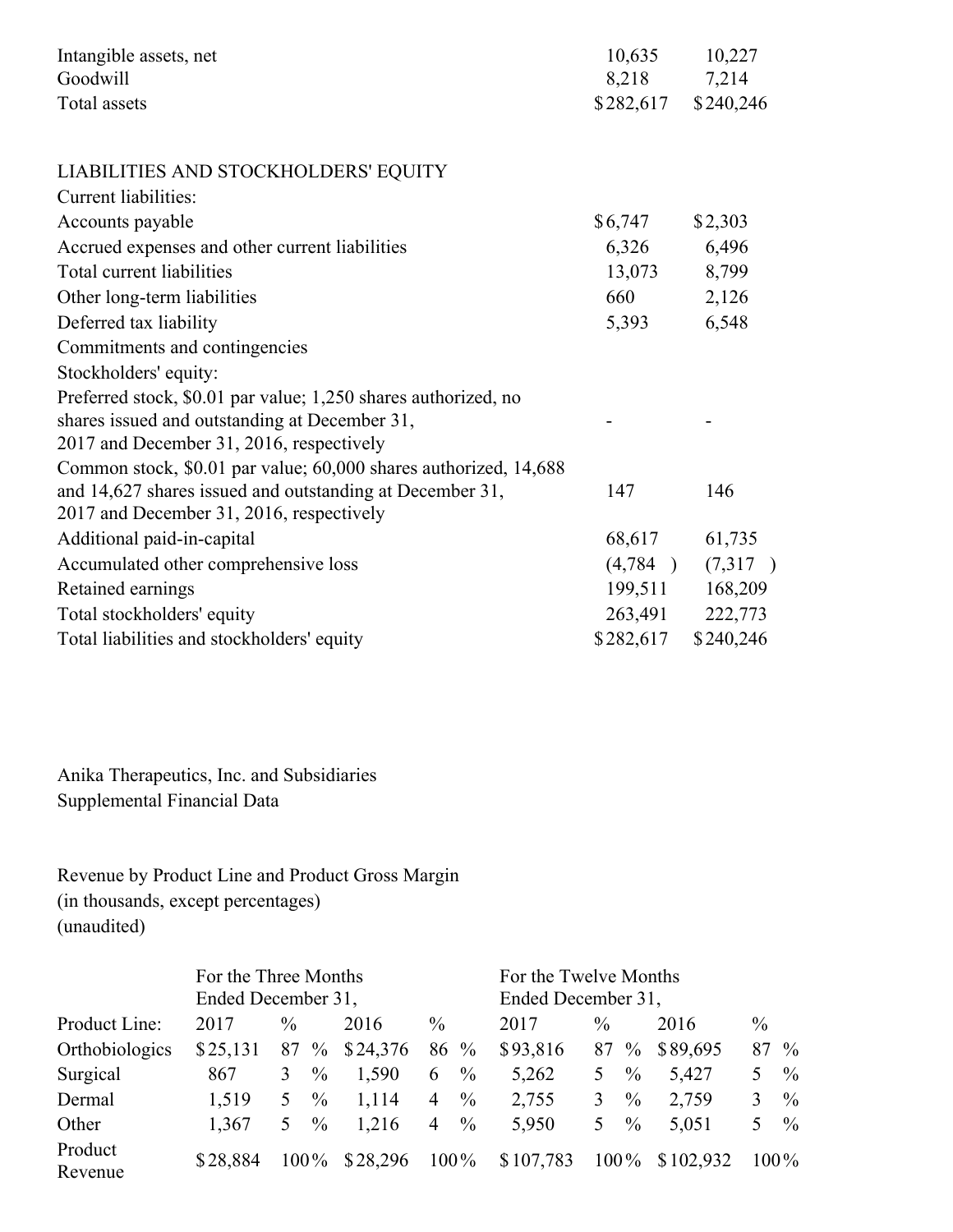| Intangible assets, net                                           | 10,635      | 10,227    |
|------------------------------------------------------------------|-------------|-----------|
| Goodwill                                                         | 8,218 7,214 |           |
| Total assets                                                     | \$282,617   | \$240,246 |
|                                                                  |             |           |
| LIABILITIES AND STOCKHOLDERS' EQUITY                             |             |           |
| Current liabilities:                                             |             |           |
| Accounts payable                                                 | \$6,747     | \$2,303   |
| Accrued expenses and other current liabilities                   | 6,326       | 6,496     |
| Total current liabilities                                        | 13,073      | 8,799     |
| Other long-term liabilities                                      | 660         | 2,126     |
| Deferred tax liability                                           | 5,393       | 6,548     |
| Commitments and contingencies                                    |             |           |
| Stockholders' equity:                                            |             |           |
| Preferred stock, \$0.01 par value; 1,250 shares authorized, no   |             |           |
| shares issued and outstanding at December 31,                    |             |           |
| 2017 and December 31, 2016, respectively                         |             |           |
| Common stock, \$0.01 par value; 60,000 shares authorized, 14,688 |             |           |
| and 14,627 shares issued and outstanding at December 31,         | 147         | 146       |
| 2017 and December 31, 2016, respectively                         |             |           |
| Additional paid-in-capital                                       | 68,617      | 61,735    |
| Accumulated other comprehensive loss                             | (4,784)     | (7,317)   |
| Retained earnings                                                | 199,511     | 168,209   |
| Total stockholders' equity                                       | 263,491     | 222,773   |
| Total liabilities and stockholders' equity                       | \$282,617   | \$240,246 |

Anika Therapeutics, Inc. and Subsidiaries Supplemental Financial Data

Revenue by Product Line and Product Gross Margin (in thousands, except percentages) (unaudited)

|                | For the Three Months |                     |          |               | For the Twelve Months |                                 |           |               |               |
|----------------|----------------------|---------------------|----------|---------------|-----------------------|---------------------------------|-----------|---------------|---------------|
|                | Ended December 31,   |                     |          |               | Ended December 31,    |                                 |           |               |               |
| Product Line:  | 2017                 | $\%$                | 2016     | $\frac{0}{0}$ | 2017                  | $\frac{0}{0}$                   | 2016      | $\frac{0}{0}$ |               |
| Orthobiologics | \$25,131             | $87 \frac{9}{6}$    | \$24,376 | $86\%$        | \$93,816              | $87\%$                          | \$89,695  | 87            | $\frac{0}{0}$ |
| Surgical       | 867                  | $\frac{0}{0}$<br>3  | 1,590    | $\%$<br>6     | 5,262                 | $\frac{0}{0}$<br>$\mathfrak{S}$ | 5,427     |               | $\%$          |
| Dermal         | 1,519                | $\frac{0}{0}$<br>5  | 1,114    | $\%$<br>4     | 2,755                 | $\%$<br>3                       | 2,759     | 3             | $\frac{0}{0}$ |
| Other          | 1,367                | $\frac{0}{0}$<br>5. | 1,216    | $\%$<br>4     | 5,950                 | $\%$<br>5                       | 5,051     | 5             | $\%$          |
| Product        | \$28,884             | $100\%$             | \$28,296 | $100\%$       | \$107,783             | $100\%$                         | \$102,932 | $100\%$       |               |
| Revenue        |                      |                     |          |               |                       |                                 |           |               |               |